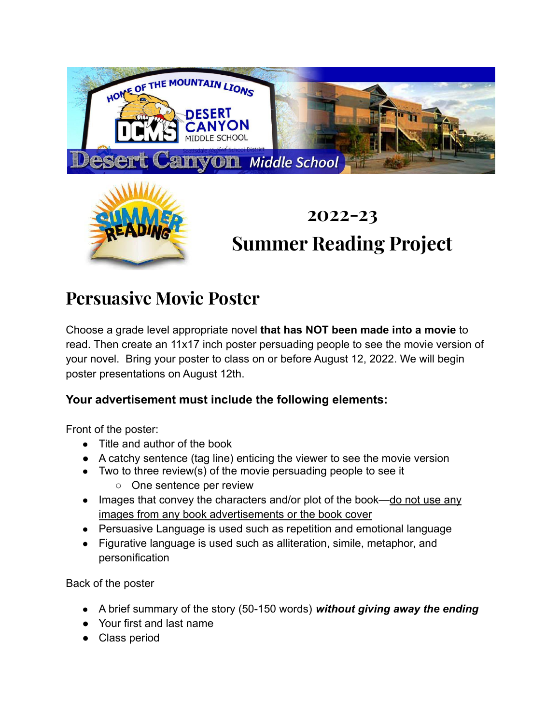

# **Summer Reading Project**

## **Persuasive Movie Poster**

Choose a grade level appropriate novel **that has NOT been made into a movie** to read. Then create an 11x17 inch poster persuading people to see the movie version of your novel. Bring your poster to class on or before August 12, 2022. We will begin poster presentations on August 12th.

### **Your advertisement must include the following elements:**

Front of the poster:

- Title and author of the book
- A catchy sentence (tag line) enticing the viewer to see the movie version
- Two to three review(s) of the movie persuading people to see it
	- One sentence per review
- Images that convey the characters and/or plot of the book—do not use any images from any book advertisements or the book cover
- Persuasive Language is used such as repetition and emotional language
- Figurative language is used such as alliteration, simile, metaphor, and personification

Back of the poster

- A brief summary of the story (50-150 words) *without giving away the ending*
- Your first and last name
- Class period